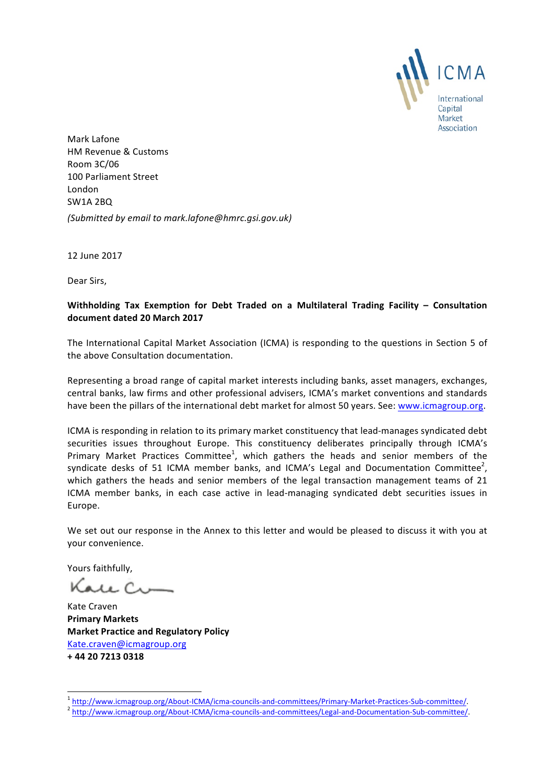

Mark Lafone HM Revenue & Customs Room 3C/06 100 Parliament Street London SW1A 2BQ *(Submitted by email to mark.lafone@hmrc.gsi.gov.uk)*

12 June 2017

Dear Sirs,

## Withholding Tax Exemption for Debt Traded on a Multilateral Trading Facility - Consultation **document dated 20 March 2017**

The International Capital Market Association (ICMA) is responding to the questions in Section 5 of the above Consultation documentation.

Representing a broad range of capital market interests including banks, asset managers, exchanges, central banks, law firms and other professional advisers, ICMA's market conventions and standards have been the pillars of the international debt market for almost 50 years. See: www.icmagroup.org.

ICMA is responding in relation to its primary market constituency that lead-manages syndicated debt securities issues throughout Europe. This constituency deliberates principally through ICMA's Primary Market Practices Committee<sup>1</sup>, which gathers the heads and senior members of the syndicate desks of 51 ICMA member banks, and ICMA's Legal and Documentation Committee<sup>2</sup>, which gathers the heads and senior members of the legal transaction management teams of 21 ICMA member banks, in each case active in lead-managing syndicated debt securities issues in Europe.

We set out our response in the Annex to this letter and would be pleased to discuss it with you at your convenience.

Yours faithfully,

Kale Cu

Kate Craven **Primary Markets Market Practice and Regulatory Policy** Kate.craven@icmagroup.org **+ 44 20 7213 0318**

<sup>&</sup>lt;sup>1</sup> http://www.icmagroup.org/About-ICMA/icma-councils-and-committees/Primary-Market-Practices-Sub-committee/.<br><sup>2</sup> http://www.icmagroup.org/About<u>-ICMA/icma-councils-and-committees/Legal-and-Documentation-Sub-committee/</u>.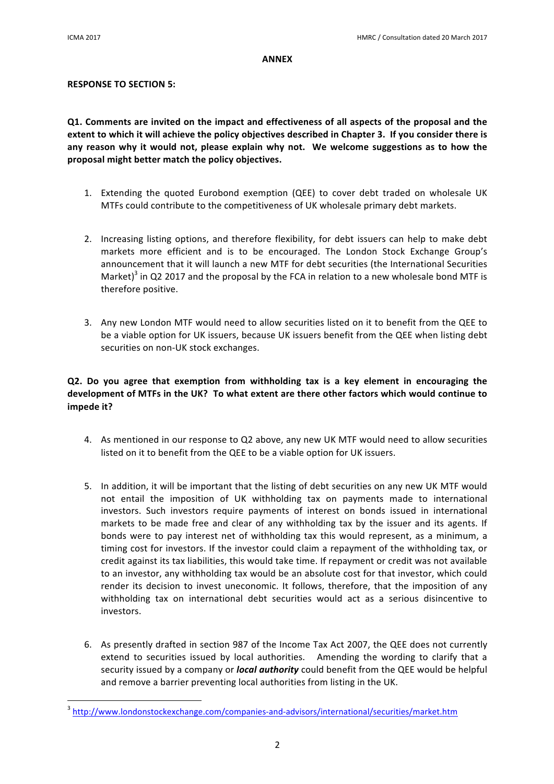#### **ANNEX**

### **RESPONSE TO SECTION 5:**

**Q1.** Comments are invited on the impact and effectiveness of all aspects of the proposal and the extent to which it will achieve the policy objectives described in Chapter 3. If you consider there is any reason why it would not, please explain why not. We welcome suggestions as to how the proposal might better match the policy objectives.

- 1. Extending the quoted Eurobond exemption (QEE) to cover debt traded on wholesale UK MTFs could contribute to the competitiveness of UK wholesale primary debt markets.
- 2. Increasing listing options, and therefore flexibility, for debt issuers can help to make debt markets more efficient and is to be encouraged. The London Stock Exchange Group's announcement that it will launch a new MTF for debt securities (the International Securities Market)<sup>3</sup> in Q2 2017 and the proposal by the FCA in relation to a new wholesale bond MTF is therefore positive.
- 3. Any new London MTF would need to allow securities listed on it to benefit from the QEE to be a viable option for UK issuers, because UK issuers benefit from the QEE when listing debt securities on non-UK stock exchanges.

# **Q2.** Do you agree that exemption from withholding tax is a key element in encouraging the development of MTFs in the UK? To what extent are there other factors which would continue to **impede** it?

- 4. As mentioned in our response to Q2 above, any new UK MTF would need to allow securities listed on it to benefit from the QEE to be a viable option for UK issuers.
- 5. In addition, it will be important that the listing of debt securities on any new UK MTF would not entail the imposition of UK withholding tax on payments made to international investors. Such investors require payments of interest on bonds issued in international markets to be made free and clear of any withholding tax by the issuer and its agents. If bonds were to pay interest net of withholding tax this would represent, as a minimum, a timing cost for investors. If the investor could claim a repayment of the withholding tax, or credit against its tax liabilities, this would take time. If repayment or credit was not available to an investor, any withholding tax would be an absolute cost for that investor, which could render its decision to invest uneconomic. It follows, therefore, that the imposition of any withholding tax on international debt securities would act as a serious disincentive to investors.
- 6. As presently drafted in section 987 of the Income Tax Act 2007, the QEE does not currently extend to securities issued by local authorities. Amending the wording to clarify that a security issued by a company or *local authority* could benefit from the QEE would be helpful and remove a barrier preventing local authorities from listing in the UK.

<u> 1989 - Jan Samuel Barbara, margaret e</u>

<sup>3</sup> http://www.londonstockexchange.com/companies-and-advisors/international/securities/market.htm